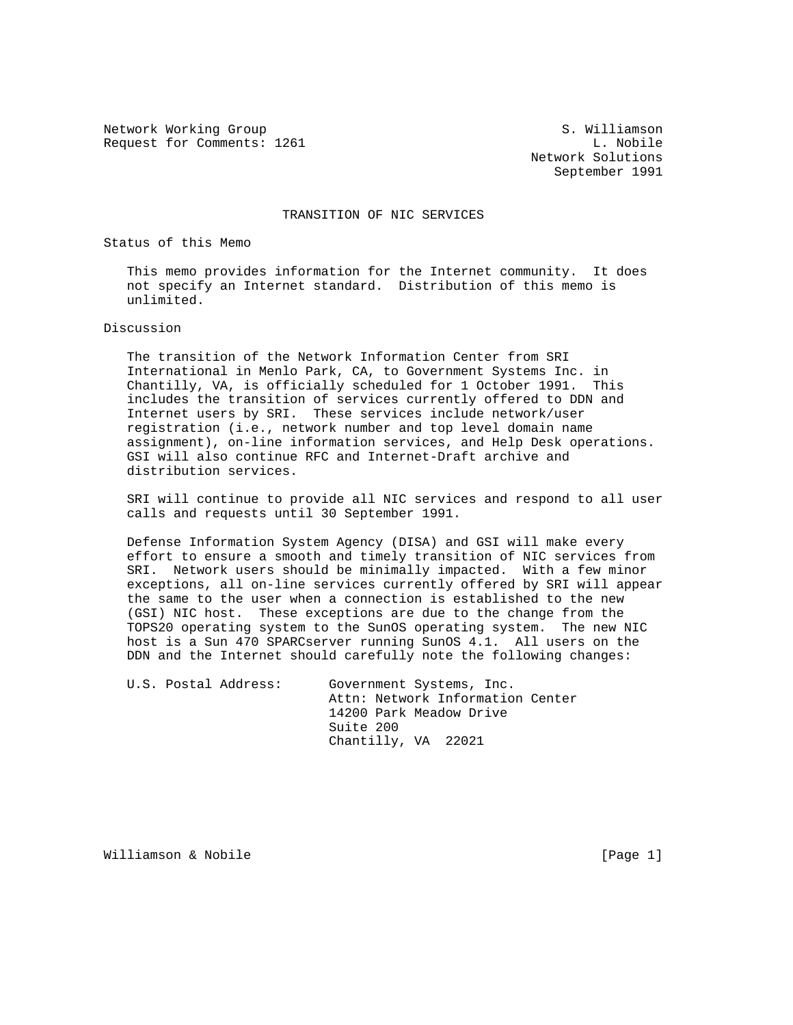Network Working Group S. Williamson Request for Comments: 1261 L. Nobile

 Network Solutions September 1991

## TRANSITION OF NIC SERVICES

Status of this Memo

 This memo provides information for the Internet community. It does not specify an Internet standard. Distribution of this memo is unlimited.

## Discussion

 The transition of the Network Information Center from SRI International in Menlo Park, CA, to Government Systems Inc. in Chantilly, VA, is officially scheduled for 1 October 1991. This includes the transition of services currently offered to DDN and Internet users by SRI. These services include network/user registration (i.e., network number and top level domain name assignment), on-line information services, and Help Desk operations. GSI will also continue RFC and Internet-Draft archive and distribution services.

 SRI will continue to provide all NIC services and respond to all user calls and requests until 30 September 1991.

 Defense Information System Agency (DISA) and GSI will make every effort to ensure a smooth and timely transition of NIC services from SRI. Network users should be minimally impacted. With a few minor exceptions, all on-line services currently offered by SRI will appear the same to the user when a connection is established to the new (GSI) NIC host. These exceptions are due to the change from the TOPS20 operating system to the SunOS operating system. The new NIC host is a Sun 470 SPARCserver running SunOS 4.1. All users on the DDN and the Internet should carefully note the following changes:

 U.S. Postal Address: Government Systems, Inc. Attn: Network Information Center 14200 Park Meadow Drive Suite 200 Chantilly, VA 22021

Williamson & Nobile **1996** (Page 1)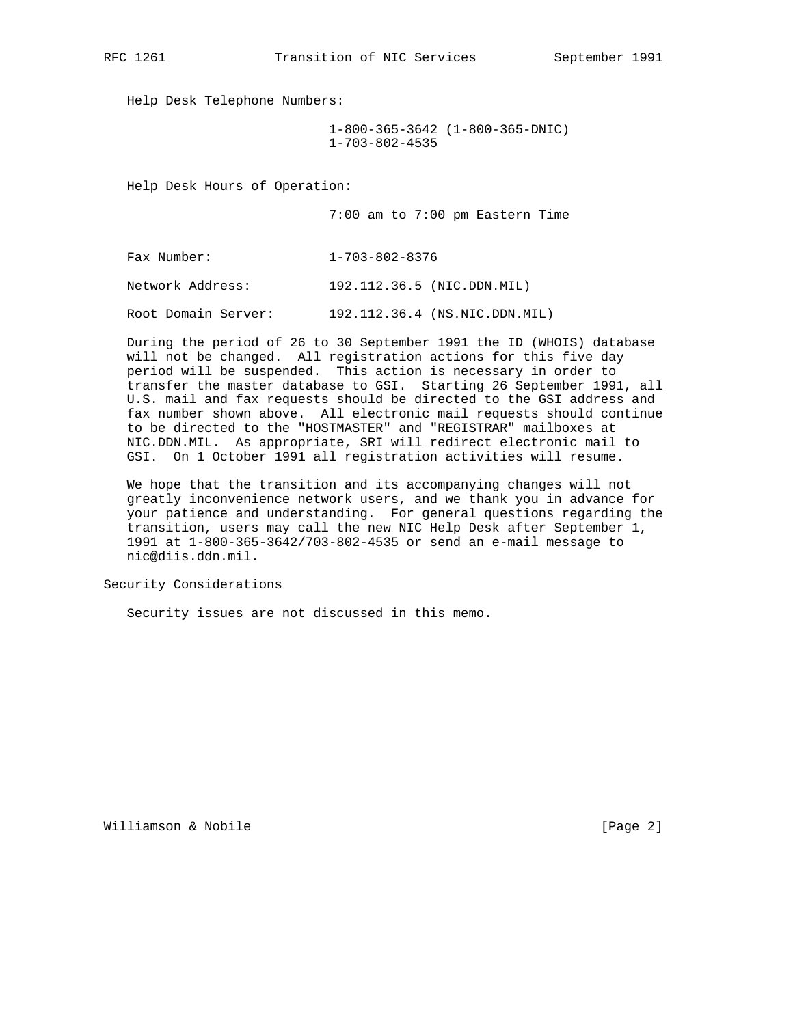Help Desk Telephone Numbers:

 1-800-365-3642 (1-800-365-DNIC) 1-703-802-4535

Help Desk Hours of Operation:

7:00 am to 7:00 pm Eastern Time

Fax Number: 1-703-802-8376

Network Address: 192.112.36.5 (NIC.DDN.MIL)

Root Domain Server: 192.112.36.4 (NS.NIC.DDN.MIL)

 During the period of 26 to 30 September 1991 the ID (WHOIS) database will not be changed. All registration actions for this five day period will be suspended. This action is necessary in order to transfer the master database to GSI. Starting 26 September 1991, all U.S. mail and fax requests should be directed to the GSI address and fax number shown above. All electronic mail requests should continue to be directed to the "HOSTMASTER" and "REGISTRAR" mailboxes at NIC.DDN.MIL. As appropriate, SRI will redirect electronic mail to GSI. On 1 October 1991 all registration activities will resume.

 We hope that the transition and its accompanying changes will not greatly inconvenience network users, and we thank you in advance for your patience and understanding. For general questions regarding the transition, users may call the new NIC Help Desk after September 1, 1991 at 1-800-365-3642/703-802-4535 or send an e-mail message to nic@diis.ddn.mil.

Security Considerations

Security issues are not discussed in this memo.

Williamson & Nobile **Example 2** and the contract of the contract of  $[Page 2]$